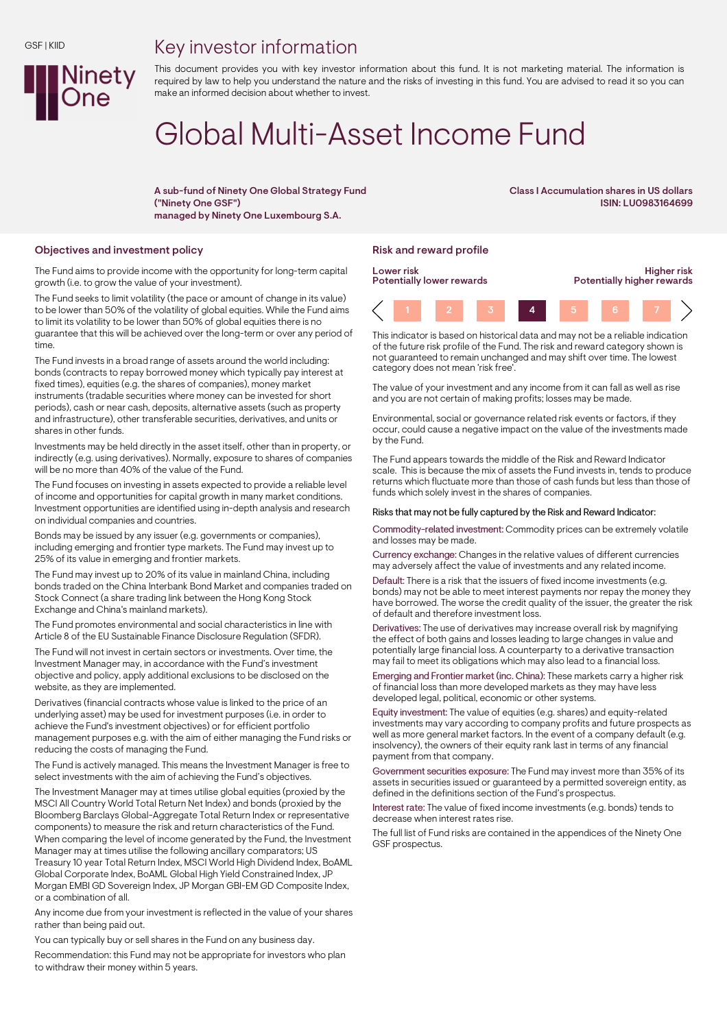## Key investor information



This document provides you with key investor information about this fund. It is not marketing material. The information is required by law to help you understand the nature and the risks of investing in this fund. You are advised to read it so you can make an informed decision about whether to invest.

# Global Multi-Asset Income Fund

A sub-fund of Ninety One Global Strategy Fund ("Ninety One GSF") managed by Ninety One Luxembourg S.A.

Class I Accumulation shares in US dollars ISIN: LU0983164699

### Objectives and investment policy **Risk and reward profile** Risk and reward profile

The Fund aims to provide income with the opportunity for long-term capital growth (i.e. to grow the value of your investment).

The Fund seeks to limit volatility (the pace or amount of change in its value) to be lower than 50% of the volatility of global equities. While the Fund aims to limit its volatility to be lower than 50% of global equities there is no guarantee that this will be achieved over the long-term or over any period of time.

The Fund invests in a broad range of assets around the world including: bonds (contracts to repay borrowed money which typically pay interest at fixed times), equities (e.g. the shares of companies), money market instruments (tradable securities where money can be invested for short periods), cash or near cash, deposits, alternative assets (such as property and infrastructure), other transferable securities, derivatives, and units or shares in other funds.

Investments may be held directly in the asset itself, other than in property, or indirectly (e.g. using derivatives). Normally, exposure to shares of companies will be no more than 40% of the value of the Fund.

The Fund focuses on investing in assets expected to provide a reliable level of income and opportunities for capital growth in many market conditions. Investment opportunities are identified using in-depth analysis and research on individual companies and countries.

Bonds may be issued by any issuer (e.g. governments or companies), including emerging and frontier type markets. The Fund may invest up to 25% of its value in emerging and frontier markets.

The Fund may invest up to 20% of its value in mainland China, including bonds traded on the China Interbank Bond Market and companies traded on Stock Connect (a share trading link between the Hong Kong Stock Exchange and China's mainland markets).

The Fund promotes environmental and social characteristics in line with Article 8 of the EU Sustainable Finance Disclosure Regulation (SFDR).

The Fund will not invest in certain sectors or investments. Over time, the Investment Manager may, in accordance with the Fund's investment objective and policy, apply additional exclusions to be disclosed on the website, as they are implemented.

Derivatives (financial contracts whose value is linked to the price of an underlying asset) may be used for investment purposes (i.e. in order to achieve the Fund's investment objectives) or for efficient portfolio management purposes e.g. with the aim of either managing the Fund risks or reducing the costs of managing the Fund.

The Fund is actively managed. This means the Investment Manager is free to select investments with the aim of achieving the Fund's objectives.

The Investment Manager may at times utilise global equities (proxied by the MSCI All Country World Total Return Net Index) and bonds (proxied by the Bloomberg Barclays Global-Aggregate Total Return Index or representative components) to measure the risk and return characteristics of the Fund. When comparing the level of income generated by the Fund, the Investment Manager may at times utilise the following ancillary comparators; US Treasury 10 year Total Return Index, MSCI World High Dividend Index, BoAML Global Corporate Index, BoAML Global High Yield Constrained Index, JP Morgan EMBI GD Sovereign Index, JP Morgan GBI-EM GD Composite Index, or a combination of all.

Any income due from your investment is reflected in the value of your shares rather than being paid out.

You can typically buy or sell shares in the Fund on any business day.

Recommendation: this Fund may not be appropriate for investors who plan to withdraw their money within 5 years.



This indicator is based on historical data and may not be a reliable indication of the future risk profile of the Fund. The risk and reward category shown is not guaranteed to remain unchanged and may shift over time. The lowest category does not mean 'risk free'.

The value of your investment and any income from it can fall as well as rise and you are not certain of making profits; losses may be made.

Environmental, social or governance related risk events or factors, if they occur, could cause a negative impact on the value of the investments made by the Fund.

The Fund appears towards the middle of the Risk and Reward Indicator scale. This is because the mix of assets the Fund invests in, tends to produce returns which fluctuate more than those of cash funds but less than those of funds which solely invest in the shares of companies.

#### Risks that may not be fully captured by the Risk and Reward Indicator:

Commodity-related investment: Commodity prices can be extremely volatile and losses may be made.

Currency exchange: Changes in the relative values of different currencies may adversely affect the value of investments and any related income.

Default: There is a risk that the issuers of fixed income investments (e.g. bonds) may not be able to meet interest payments nor repay the money they have borrowed. The worse the credit quality of the issuer, the greater the risk of default and therefore investment loss.

Derivatives: The use of derivatives may increase overall risk by magnifying the effect of both gains and losses leading to large changes in value and potentially large financial loss. A counterparty to a derivative transaction may fail to meet its obligations which may also lead to a financial loss.

Emerging and Frontier market (inc. China): These markets carry a higher risk of financial loss than more developed markets as they may have less developed legal, political, economic or other systems.

Equity investment: The value of equities (e.g. shares) and equity-related investments may vary according to company profits and future prospects as well as more general market factors. In the event of a company default (e.g. insolvency), the owners of their equity rank last in terms of any financial payment from that company.

Government securities exposure: The Fund may invest more than 35% of its assets in securities issued or guaranteed by a permitted sovereign entity, as defined in the definitions section of the Fund's prospectus.

Interest rate: The value of fixed income investments (e.g. bonds) tends to decrease when interest rates rise.

The full list of Fund risks are contained in the appendices of the Ninety One GSF prospectus.